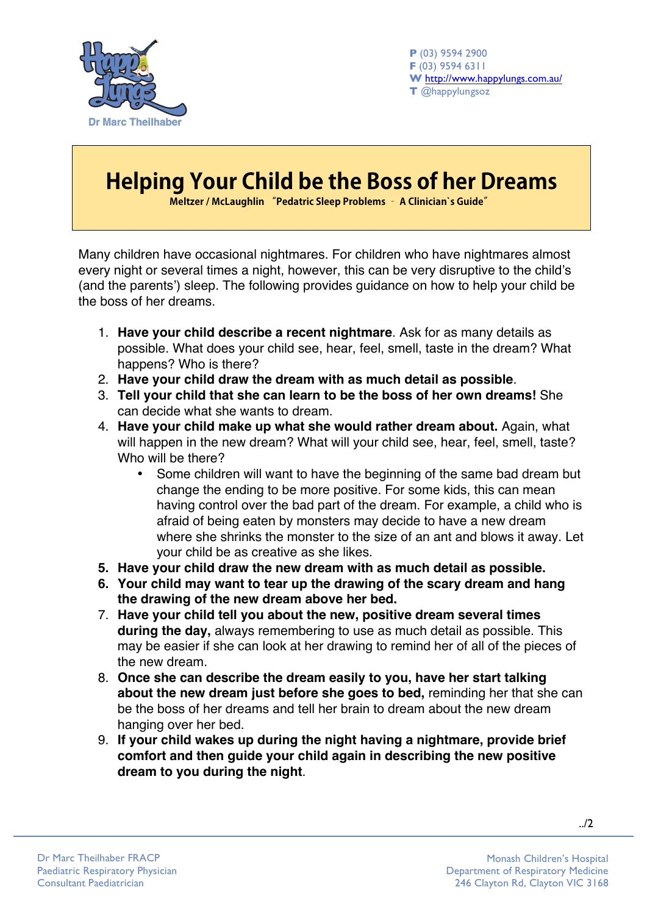

**P** (03) 9594 2900 **F** (03) 9594 6311 **W** http://www.happylungs.com.au/ **T** @happylungsoz

## **Helping Your Child be the Boss of her Dreams**

**Meltzer / McLaughlin "Pedatric Sleep Problems – A Clinician`s Guide"**

Many children have occasional nightmares. For children who have nightmares almost every night or several times a night, however, this can be very disruptive to the child's (and the parents') sleep. The following provides guidance on how to help your child be the boss of her dreams.

- 1. **Have your child describe a recent nightmare**. Ask for as many details as possible. What does your child see, hear, feel, smell, taste in the dream? What happens? Who is there?
- 2. **Have your child draw the dream with as much detail as possible**.
- 3. **Tell your child that she can learn to be the boss of her own dreams!** She can decide what she wants to dream.
- 4. **Have your child make up what she would rather dream about.** Again, what will happen in the new dream? What will your child see, hear, feel, smell, taste? Who will be there?
	- Some children will want to have the beginning of the same bad dream but change the ending to be more positive. For some kids, this can mean having control over the bad part of the dream. For example, a child who is afraid of being eaten by monsters may decide to have a new dream where she shrinks the monster to the size of an ant and blows it away. Let your child be as creative as she likes.
- **5. Have your child draw the new dream with as much detail as possible.**
- **6. Your child may want to tear up the drawing of the scary dream and hang the drawing of the new dream above her bed.**
- 7. **Have your child tell you about the new, positive dream several times during the day,** always remembering to use as much detail as possible. This may be easier if she can look at her drawing to remind her of all of the pieces of the new dream.
- 8. **Once she can describe the dream easily to you, have her start talking about the new dream just before she goes to bed,** reminding her that she can be the boss of her dreams and tell her brain to dream about the new dream hanging over her bed.
- 9. **If your child wakes up during the night having a nightmare, provide brief comfort and then guide your child again in describing the new positive dream to you during the night**.